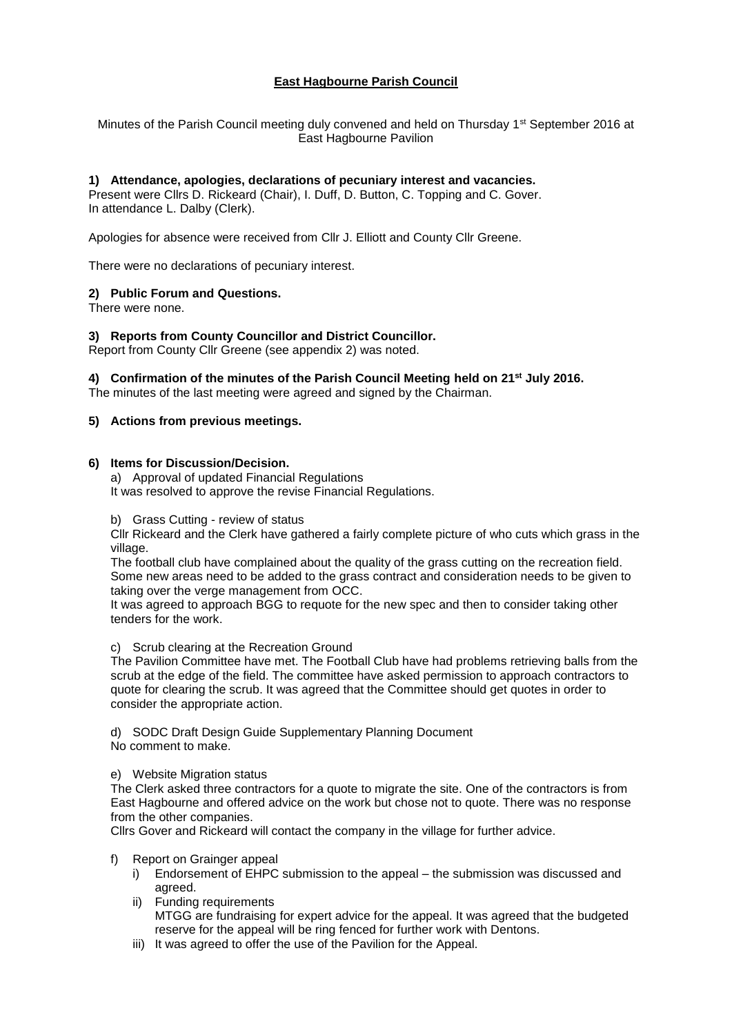## **East Hagbourne Parish Council**

Minutes of the Parish Council meeting duly convened and held on Thursday 1<sup>st</sup> September 2016 at East Hagbourne Pavilion

## **1) Attendance, apologies, declarations of pecuniary interest and vacancies.**

Present were Cllrs D. Rickeard (Chair), I. Duff, D. Button, C. Topping and C. Gover. In attendance L. Dalby (Clerk).

Apologies for absence were received from Cllr J. Elliott and County Cllr Greene.

There were no declarations of pecuniary interest.

### **2) Public Forum and Questions.**

There were none.

### **3) Reports from County Councillor and District Councillor.**

Report from County Cllr Greene (see appendix 2) was noted.

### **4) Confirmation of the minutes of the Parish Council Meeting held on 21st July 2016.**

The minutes of the last meeting were agreed and signed by the Chairman.

### **5) Actions from previous meetings.**

## **6) Items for Discussion/Decision.**

a) Approval of updated Financial Regulations It was resolved to approve the revise Financial Regulations.

### b) Grass Cutting - review of status

Cllr Rickeard and the Clerk have gathered a fairly complete picture of who cuts which grass in the village.

The football club have complained about the quality of the grass cutting on the recreation field. Some new areas need to be added to the grass contract and consideration needs to be given to taking over the verge management from OCC.

It was agreed to approach BGG to requote for the new spec and then to consider taking other tenders for the work.

#### c) Scrub clearing at the Recreation Ground

The Pavilion Committee have met. The Football Club have had problems retrieving balls from the scrub at the edge of the field. The committee have asked permission to approach contractors to quote for clearing the scrub. It was agreed that the Committee should get quotes in order to consider the appropriate action.

d) SODC Draft Design Guide Supplementary Planning Document No comment to make.

### e) Website Migration status

The Clerk asked three contractors for a quote to migrate the site. One of the contractors is from East Hagbourne and offered advice on the work but chose not to quote. There was no response from the other companies.

Cllrs Gover and Rickeard will contact the company in the village for further advice.

f) Report on Grainger appeal

- i) Endorsement of EHPC submission to the appeal the submission was discussed and agreed.
- ii) Funding requirements MTGG are fundraising for expert advice for the appeal. It was agreed that the budgeted reserve for the appeal will be ring fenced for further work with Dentons.
- iii) It was agreed to offer the use of the Pavilion for the Appeal.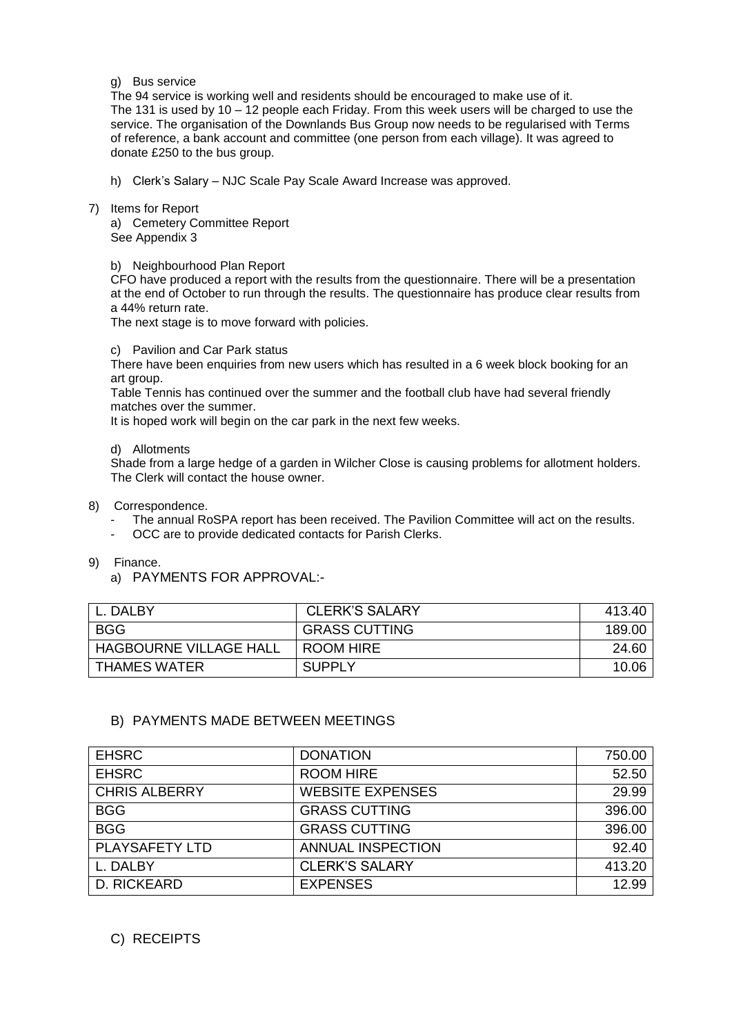### g) Bus service

The 94 service is working well and residents should be encouraged to make use of it. The 131 is used by 10 – 12 people each Friday. From this week users will be charged to use the service. The organisation of the Downlands Bus Group now needs to be regularised with Terms of reference, a bank account and committee (one person from each village). It was agreed to donate £250 to the bus group.

- h) Clerk's Salary NJC Scale Pay Scale Award Increase was approved.
- 7) Items for Report

a) Cemetery Committee Report See Appendix 3

## b) Neighbourhood Plan Report

CFO have produced a report with the results from the questionnaire. There will be a presentation at the end of October to run through the results. The questionnaire has produce clear results from a 44% return rate.

The next stage is to move forward with policies.

## c) Pavilion and Car Park status

There have been enquiries from new users which has resulted in a 6 week block booking for an art group.

Table Tennis has continued over the summer and the football club have had several friendly matches over the summer.

It is hoped work will begin on the car park in the next few weeks.

## d) Allotments

Shade from a large hedge of a garden in Wilcher Close is causing problems for allotment holders. The Clerk will contact the house owner.

## 8) Correspondence.

- The annual RoSPA report has been received. The Pavilion Committee will act on the results.
- OCC are to provide dedicated contacts for Parish Clerks.
- 9) Finance.
	- a) PAYMENTS FOR APPROVAL:-

| L. DALBY                      | CLERK'S SALARY       | 413.40 |
|-------------------------------|----------------------|--------|
| <b>BGG</b>                    | <b>GRASS CUTTING</b> | 189.00 |
| <b>HAGBOURNE VILLAGE HALL</b> | ROOM HIRE            | 24.60  |
| I THAMES WATER                | SUPPLY               | 10.06  |

# B) PAYMENTS MADE BETWEEN MEETINGS

| <b>EHSRC</b>          | <b>DONATION</b>          | 750.00 |
|-----------------------|--------------------------|--------|
| <b>EHSRC</b>          | <b>ROOM HIRE</b>         | 52.50  |
| <b>CHRIS ALBERRY</b>  | <b>WEBSITE EXPENSES</b>  | 29.99  |
| <b>BGG</b>            | <b>GRASS CUTTING</b>     | 396.00 |
| <b>BGG</b>            | <b>GRASS CUTTING</b>     | 396.00 |
| <b>PLAYSAFETY LTD</b> | <b>ANNUAL INSPECTION</b> | 92.40  |
| L. DALBY              | <b>CLERK'S SALARY</b>    | 413.20 |
| D. RICKEARD           | <b>EXPENSES</b>          | 12.99  |

# C) RECEIPTS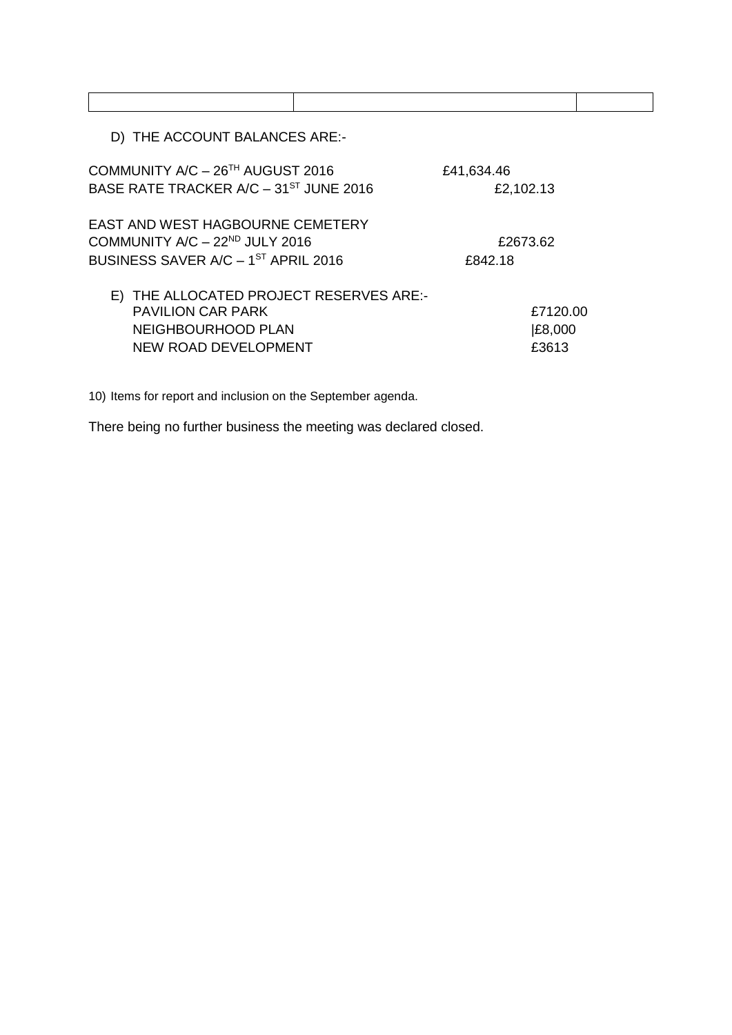D) THE ACCOUNT BALANCES ARE:-

| COMMUNITY A/C - 26TH AUGUST 2016                   | £41,634.46 |  |
|----------------------------------------------------|------------|--|
| BASE RATE TRACKER A/C - 31 <sup>ST</sup> JUNE 2016 | £2,102.13  |  |
| EAST AND WEST HAGBOURNE CEMETERY                   |            |  |
| COMMUNITY A/C - 22 <sup>ND</sup> JULY 2016         | £2673.62   |  |
| BUSINESS SAVER A/C - 1 <sup>ST</sup> APRIL 2016    | £842.18    |  |
| E) THE ALLOCATED PROJECT RESERVES ARE:-            |            |  |
| <b>PAVILION CAR PARK</b>                           | £7120.00   |  |
| NEIGHBOURHOOD PLAN                                 | £8,000     |  |
| NEW ROAD DEVELOPMENT                               | £3613      |  |

10) Items for report and inclusion on the September agenda.

There being no further business the meeting was declared closed.